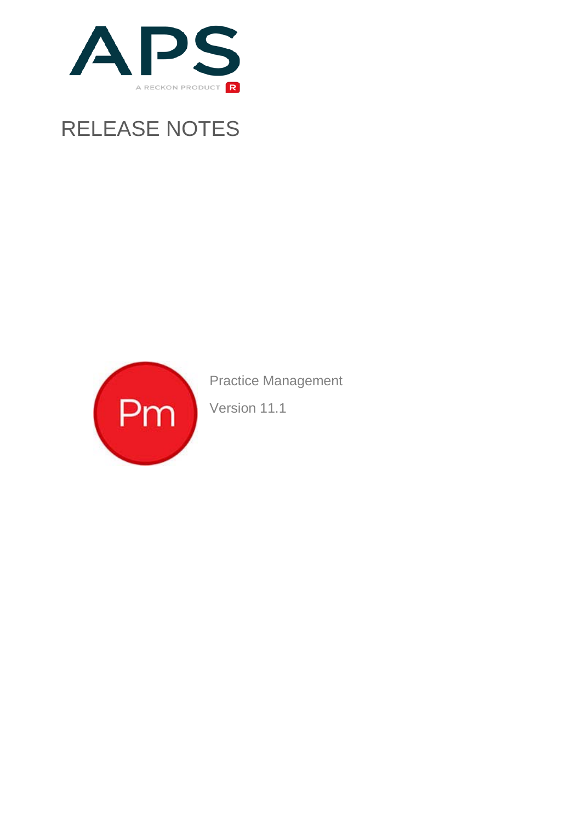

# RELEASE NOTES



Practice Management

Version 11.1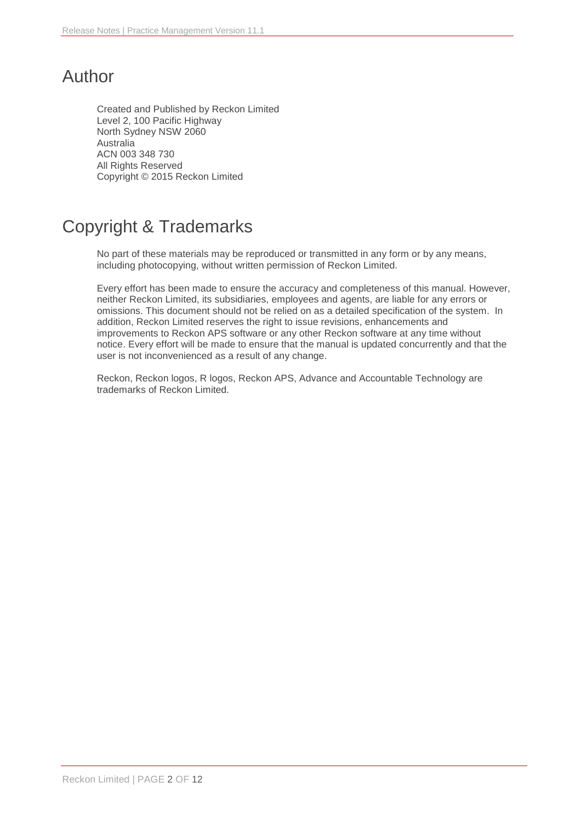# Author

Created and Published by Reckon Limited Level 2, 100 Pacific Highway North Sydney NSW 2060 Australia ACN 003 348 730 All Rights Reserved Copyright © 2015 Reckon Limited

# Copyright & Trademarks

No part of these materials may be reproduced or transmitted in any form or by any means, including photocopying, without written permission of Reckon Limited.

Every effort has been made to ensure the accuracy and completeness of this manual. However, neither Reckon Limited, its subsidiaries, employees and agents, are liable for any errors or omissions. This document should not be relied on as a detailed specification of the system. In addition, Reckon Limited reserves the right to issue revisions, enhancements and improvements to Reckon APS software or any other Reckon software at any time without notice. Every effort will be made to ensure that the manual is updated concurrently and that the user is not inconvenienced as a result of any change.

Reckon, Reckon logos, R logos, Reckon APS, Advance and Accountable Technology are trademarks of Reckon Limited.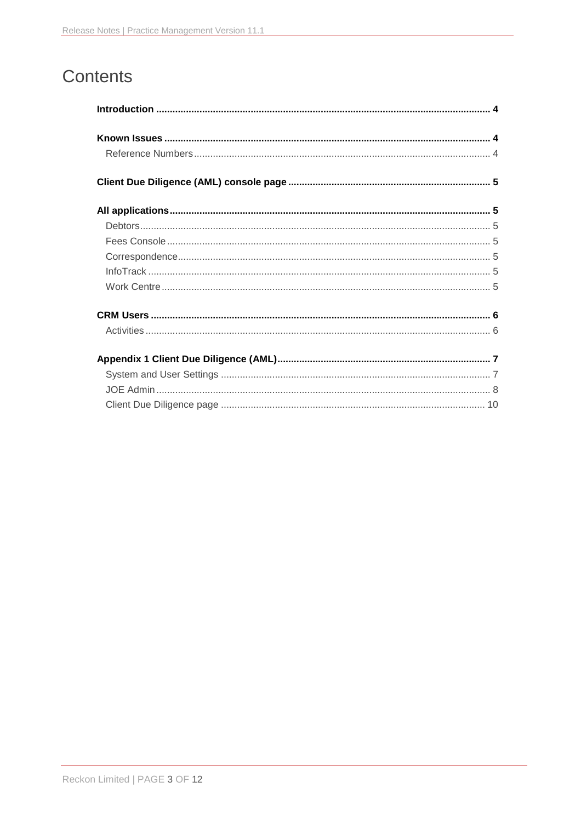# Contents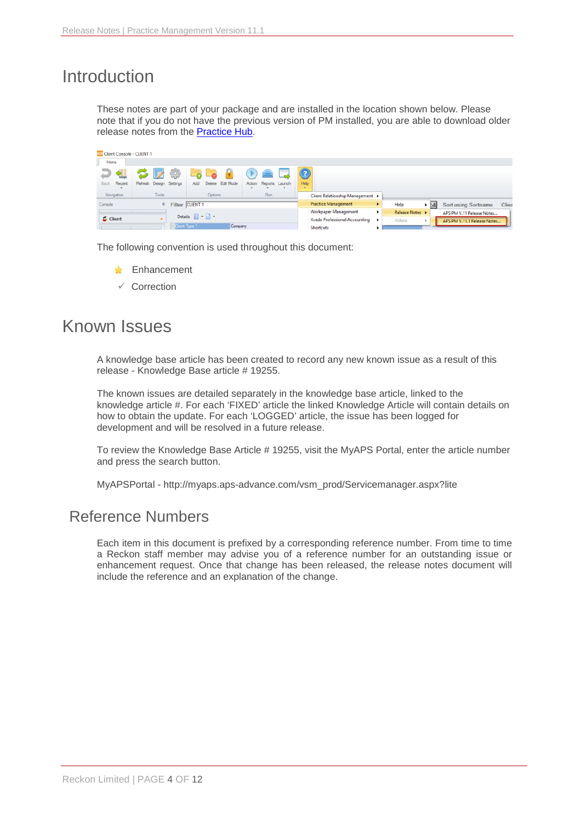## <span id="page-3-0"></span>Introduction

These notes are part of your package and are installed in the location shown below. Please note that if you do not have the previous version of PM installed, you are able to download older release notes from the [Practice Hub.](http://go.reckon.com/practice-hub-pm/)

| <b>ELE Client Console - CLIENT 1</b> |                             |                                    |                       |        |                                  |   |                 |     |                             |       |
|--------------------------------------|-----------------------------|------------------------------------|-----------------------|--------|----------------------------------|---|-----------------|-----|-----------------------------|-------|
| Home                                 |                             |                                    |                       |        |                                  |   |                 |     |                             |       |
|                                      | ₩                           | ెం                                 |                       |        |                                  |   |                 |     |                             |       |
| Recent<br><b>Back</b>                | Refresh Design Settings     | Delete Edit Mode<br><b>Add</b>     | Action Reports Launch | Help   |                                  |   |                 |     |                             |       |
|                                      |                             |                                    |                       | $\sim$ |                                  |   |                 |     |                             |       |
| Navigation                           | <b>Tools</b>                | Options                            | Run                   |        | Client Relationship Management > |   |                 |     |                             |       |
| Console                              | <sup>#</sup> Filter CLIENT1 |                                    |                       |        | <b>Practice Management</b>       | ٠ | Help            | • ⊠ | <b>Sort using Sortname</b>  | Clier |
|                                      |                             |                                    |                       |        | Workpaper Management             | ٠ | Release Notes > |     | APS PM V.11 Release Notes   |       |
| Client                               | ^                           | Details <b>Details</b>             |                       |        | Xcede Professional Accounting >  |   | Videos          |     | APS PM V.11.1 Release Notes |       |
|                                      |                             | Clent Type <sup>*</sup><br>Company |                       |        | <b>Shortcuts</b>                 |   |                 |     |                             |       |

The following convention is used throughout this document:

- **A** Enhancement
- $\checkmark$  Correction

## <span id="page-3-1"></span>Known Issues

A knowledge base article has been created to record any new known issue as a result of this release - Knowledge Base article # 19255.

The known issues are detailed separately in the knowledge base article, linked to the knowledge article #. For each 'FIXED' article the linked Knowledge Article will contain details on how to obtain the update. For each 'LOGGED' article, the issue has been logged for development and will be resolved in a future release.

To review the Knowledge Base Article # 19255, visit the MyAPS Portal, enter the article number and press the search button.

MyAPSPortal - [http://myaps.aps-advance.com/vsm\\_prod/Servicemanager.aspx?lite](http://myaps.aps-advance.com/vsm_prod/Servicemanager.aspx?lite)

### <span id="page-3-2"></span>Reference Numbers

Each item in this document is prefixed by a corresponding reference number. From time to time a Reckon staff member may advise you of a reference number for an outstanding issue or enhancement request. Once that change has been released, the release notes document will include the reference and an explanation of the change.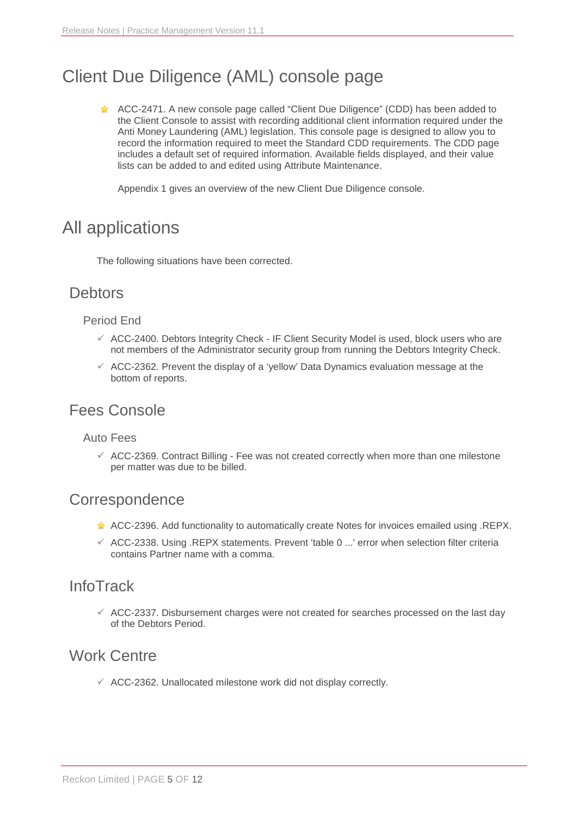# <span id="page-4-0"></span>Client Due Diligence (AML) console page

**ACC-2471.** A new console page called "Client Due Diligence" (CDD) has been added to the Client Console to assist with recording additional client information required under the Anti Money Laundering (AML) legislation. This console page is designed to allow you to record the information required to meet the Standard CDD requirements. The CDD page includes a default set of required information. Available fields displayed, and their value lists can be added to and edited using Attribute Maintenance.

Appendix 1 gives an overview of the new Client Due Diligence console.

## <span id="page-4-1"></span>All applications

The following situations have been corrected.

### <span id="page-4-2"></span>**Debtors**

#### Period End

- $\checkmark$  ACC-2400. Debtors Integrity Check IF Client Security Model is used, block users who are not members of the Administrator security group from running the Debtors Integrity Check.
- $\checkmark$  ACC-2362. Prevent the display of a 'yellow' Data Dynamics evaluation message at the bottom of reports.

### <span id="page-4-3"></span>Fees Console

#### Auto Fees

 $\checkmark$  ACC-2369. Contract Billing - Fee was not created correctly when more than one milestone per matter was due to be billed.

### <span id="page-4-4"></span>**Correspondence**

- $\triangle$  ACC-2396. Add functionality to automatically create Notes for invoices emailed using .REPX.
- $\checkmark$  ACC-2338. Using .REPX statements. Prevent 'table 0 ...' error when selection filter criteria contains Partner name with a comma.

### <span id="page-4-5"></span>InfoTrack

 $\checkmark$  ACC-2337. Disbursement charges were not created for searches processed on the last day of the Debtors Period.

### <span id="page-4-6"></span>Work Centre

 $\checkmark$  ACC-2362. Unallocated milestone work did not display correctly.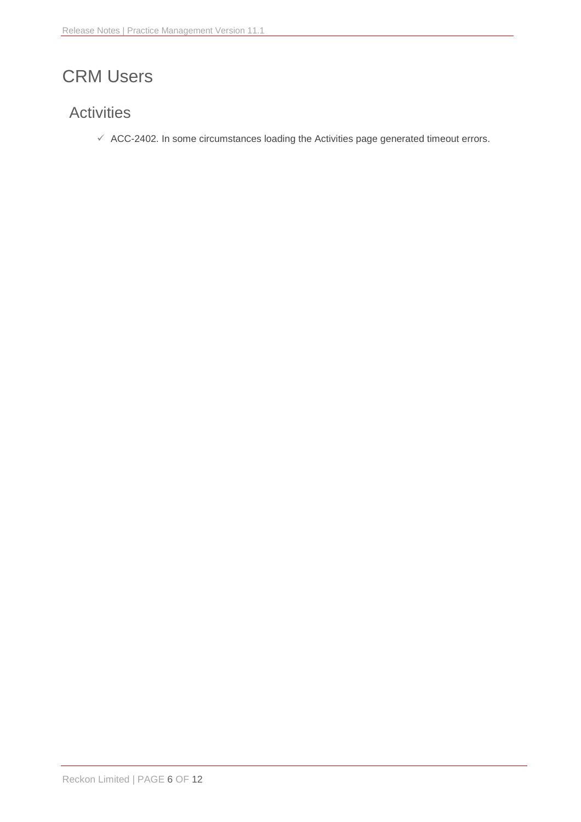# <span id="page-5-0"></span>CRM Users

## <span id="page-5-1"></span>**Activities**

 $\checkmark$  ACC-2402. In some circumstances loading the Activities page generated timeout errors.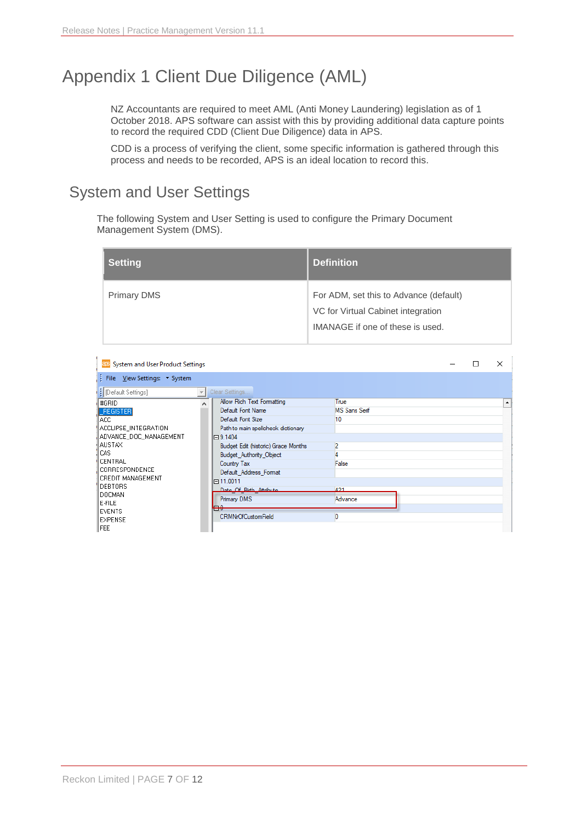# <span id="page-6-0"></span>Appendix 1 Client Due Diligence (AML)

NZ Accountants are required to meet AML (Anti Money Laundering) legislation as of 1 October 2018. APS software can assist with this by providing additional data capture points to record the required CDD (Client Due Diligence) data in APS.

CDD is a process of verifying the client, some specific information is gathered through this process and needs to be recorded, APS is an ideal location to record this.

## <span id="page-6-1"></span>System and User Settings

The following System and User Setting is used to configure the Primary Document Management System (DMS).

| <b>Setting</b>     | <b>Definition</b>                      |
|--------------------|----------------------------------------|
| <b>Primary DMS</b> | For ADM, set this to Advance (default) |
|                    | VC for Virtual Cabinet integration     |
|                    | IMANAGE if one of these is used.       |

| <b>BRS</b> System and User Product Settings |                                           | □ | ×                |
|---------------------------------------------|-------------------------------------------|---|------------------|
| File View Settings: System                  |                                           |   |                  |
| <b>B</b> [Default Settings]                 | Clear Settings                            |   |                  |
| #GRID                                       | Allow Rich Text Formatting<br>True        |   | $\blacktriangle$ |
| <b>FREGISTER</b>                            | Default Font Name<br><b>MS Sans Serif</b> |   |                  |
| IACC.                                       | Default Font Size<br>10                   |   |                  |
| ACCLIPSE INTEGRATION                        | Path to main spellcheck dictionary        |   |                  |
| ADVANCE_DOC_MANAGEMENT                      | $\Box$ 9.1404                             |   |                  |
| ∦AUSTA⊠                                     | 2<br>Budget Edit (historic) Grace Months  |   |                  |
| ll CAS.                                     | <b>Budget Authority Object</b>            |   |                  |
| <b>I</b> CENTRAL                            | False<br>Country Tax                      |   |                  |
| CORRESPONDENCE                              | Default_Address_Format                    |   |                  |
| CREDIT MANAGEMENT<br><b>IDEBTORS</b>        | □ 11.0011                                 |   |                  |
| DOCMAN                                      | Date Of Rith Attribute<br>421             |   |                  |
| <b>E-FILE</b>                               | <b>Primary DMS</b><br>Advance             |   |                  |
| <b>EVENTS</b>                               | $-\alpha$<br>₩                            |   |                  |
| <b>EXPENSE</b>                              | <b>CRMNrOfCustomField</b>                 |   |                  |
| FEE                                         |                                           |   |                  |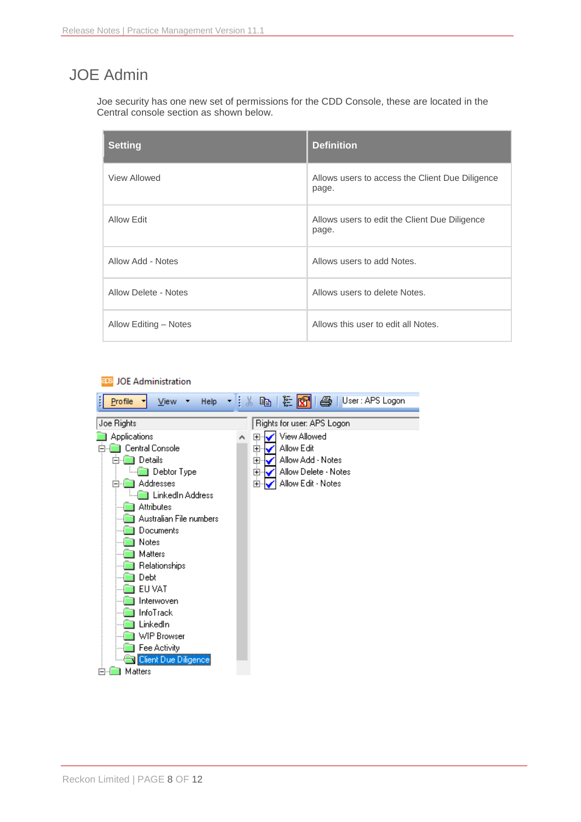## <span id="page-7-0"></span>JOE Admin

Joe security has one new set of permissions for the CDD Console, these are located in the Central console section as shown below.

| <b>Setting</b>        | <b>Definition</b>                                        |
|-----------------------|----------------------------------------------------------|
| View Allowed          | Allows users to access the Client Due Diligence<br>page. |
| Allow Edit            | Allows users to edit the Client Due Diligence<br>page.   |
| Allow Add - Notes     | Allows users to add Notes.                               |
| Allow Delete - Notes  | Allows users to delete Notes.                            |
| Allow Editing - Notes | Allows this user to edit all Notes.                      |

#### aps JOE Administration

| <b>Profile</b><br>Help<br>ĵ.<br>View                                                      | $\mathbb{R}^n$ is the $\mathbb{R}^n$<br><b>4</b> User: APS Logon                                       |
|-------------------------------------------------------------------------------------------|--------------------------------------------------------------------------------------------------------|
| Joe Rights                                                                                | Rights for user: APS Logon                                                                             |
| Applications<br>Central Console<br>Details<br>⊟                                           | View Allowed<br>$\overline{\mathbf{H}}$<br>Α<br>Allow Edit<br>$\overline{+}$<br>Allow Add - Notes<br>中 |
| Debtor Type<br>Addresses<br>$\left  - \right $<br>▒ LinkedIn Address<br><b>Attributes</b> | Allow Delete - Notes<br>Ė<br>Allow Edit - Notes<br>Ė                                                   |
| Australian File numbers<br>Documents<br>Notes<br>Matters                                  |                                                                                                        |
| Relationships<br>Debt<br>EU VAT                                                           |                                                                                                        |
| Interwoven<br>InfoTrack<br>LinkedIn                                                       |                                                                                                        |
| WIP Browser<br>Fee Activity<br>Client Due Diligence<br>Matters                            |                                                                                                        |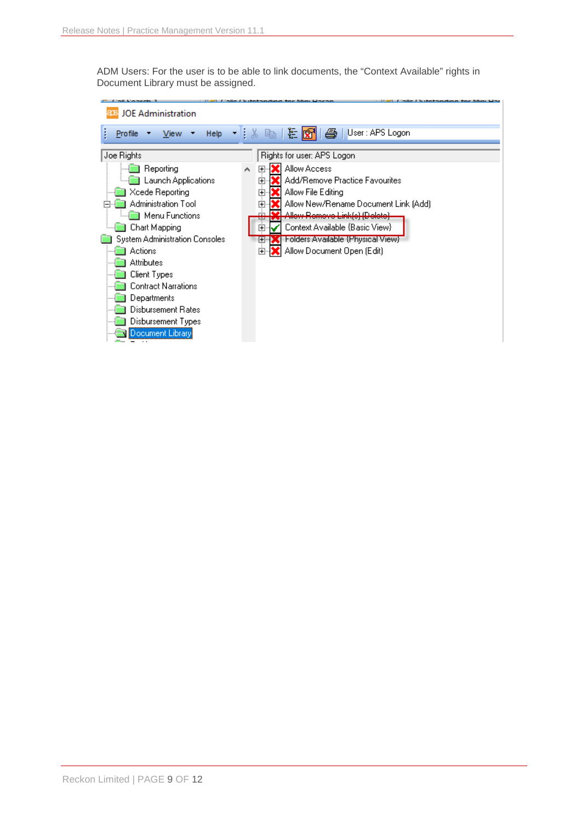ADM Users: For the user is to be able to link documents, the "Context Available" rights in Document Library must be assigned.

| <b>JOE Administration</b>                                                                                                                                              |                                                                                                                                                                                                                                                                                                                                         |
|------------------------------------------------------------------------------------------------------------------------------------------------------------------------|-----------------------------------------------------------------------------------------------------------------------------------------------------------------------------------------------------------------------------------------------------------------------------------------------------------------------------------------|
| Help<br>View<br><b>Profile</b>                                                                                                                                         | User: APS Logon<br>祖<br>目晶<br>$\bigoplus$<br>眙<br>IR۲                                                                                                                                                                                                                                                                                   |
| Joe Rights<br>Reporting<br><b>Launch Applications</b><br>Xcede Reporting<br>Administration Tool<br>Menu Functions  <br>Chart Mapping<br>System Administration Consoles | Rights for user: APS Logon<br><b>Allow Access</b><br>$\mathbb{F}$<br>A<br>Add/Remove Practice Favourites<br>Ĥ<br>Allow File Editing<br>由<br>Allow New/Rename Document Link (Add)<br>曱<br>Allow Romovo Link(e) (Doloto)<br>Context Available {Basic View}<br>$\overline{\phantom{a}}$<br><b>Folders Available {Physical View}</b><br>(∓⊡ |
| Actions<br><b>Attributes</b><br>Client Types<br>Contract Narrations<br>Departments<br>Disbursement Rates<br>Disbursement Types<br>Document Library                     | Allow Document Open (Edit)<br>田                                                                                                                                                                                                                                                                                                         |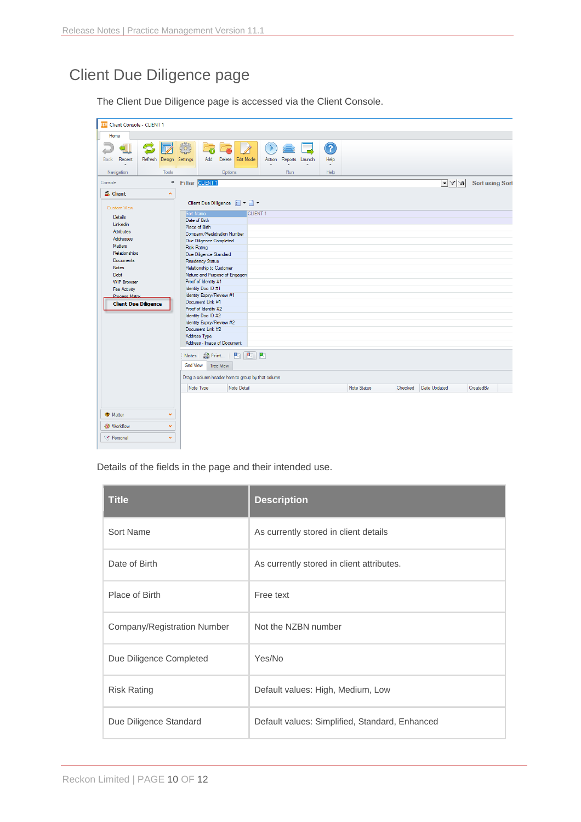## <span id="page-9-0"></span>Client Due Diligence page

The Client Due Diligence page is accessed via the Client Console.

| <b>as Client Console - CLIENT 1</b>     |                                                                        |                                                    |                        |                           |                        |
|-----------------------------------------|------------------------------------------------------------------------|----------------------------------------------------|------------------------|---------------------------|------------------------|
| Home                                    |                                                                        |                                                    |                        |                           |                        |
| Refresh Design<br><b>Back</b><br>Recent | 63<br>$\mathbb{D}$<br>G<br>ē<br>Add<br>Delete<br>Edit Mode<br>Settings | 7<br>Action Reports Launch<br>Help<br>$\mathbf{v}$ |                        |                           |                        |
| Tools<br>Navigation                     | Options                                                                | Run<br>Help                                        |                        |                           |                        |
| Console<br>$\overline{\mathbb{R}}$      | Filter <b>CLIENT1</b>                                                  |                                                    |                        | $ \mathbf{Y} \mathbf{Y} $ | <b>Sort using Sort</b> |
| <b>B</b> Client<br>$\mathbf{A}$         |                                                                        |                                                    |                        |                           |                        |
|                                         | Client Due Diligence                                                   |                                                    |                        |                           |                        |
| <b>Custom View</b>                      | Sort Name<br><b>CLIENT 1</b>                                           |                                                    |                        |                           |                        |
| Details                                 | Date of Birth                                                          |                                                    |                        |                           |                        |
| Linkedin<br>Attributes                  | Place of Birth                                                         |                                                    |                        |                           |                        |
| <b>Addresses</b>                        | Company/Registration Number                                            |                                                    |                        |                           |                        |
| Matters                                 | Due Diligence Completed                                                |                                                    |                        |                           |                        |
| Relationships                           | <b>Risk Rating</b><br>Due Diligence Standard                           |                                                    |                        |                           |                        |
| Documents                               | <b>Residency Status</b>                                                |                                                    |                        |                           |                        |
| <b>Notes</b>                            | Relationship to Customer                                               |                                                    |                        |                           |                        |
| Debt                                    | Nature and Purpose of Engagen                                          |                                                    |                        |                           |                        |
| <b>WIP Browser</b>                      | Proof of Identity #1                                                   |                                                    |                        |                           |                        |
| Fee Activity                            | Identity Doc ID #1                                                     |                                                    |                        |                           |                        |
| <b>Process Matrix</b>                   | Identity Expiry/Review #1                                              |                                                    |                        |                           |                        |
| <b>Client Due Diligence</b>             | Document Link #1<br>Proof of Identity #2                               |                                                    |                        |                           |                        |
|                                         | Identity Doc ID #2                                                     |                                                    |                        |                           |                        |
|                                         | Identity Expiry/Review #2                                              |                                                    |                        |                           |                        |
|                                         | Document Link #2                                                       |                                                    |                        |                           |                        |
|                                         | Address Type                                                           |                                                    |                        |                           |                        |
|                                         | Address - Image of Document                                            |                                                    |                        |                           |                        |
|                                         | 西西西<br>Notes <b>Print</b>                                              |                                                    |                        |                           |                        |
|                                         | <b>Grid View</b><br>Tree View                                          |                                                    |                        |                           |                        |
|                                         | Drag a column header here to group by that column                      |                                                    |                        |                           |                        |
|                                         | Note Detail<br>Note Type                                               |                                                    | Note Status<br>Checked | Date Updated              | <b>CreatedBy</b>       |
|                                         |                                                                        |                                                    |                        |                           |                        |
|                                         |                                                                        |                                                    |                        |                           |                        |
| <b>Matter</b><br>v                      |                                                                        |                                                    |                        |                           |                        |
| v<br><b>@</b> Workflow                  |                                                                        |                                                    |                        |                           |                        |
| v<br>Personal                           |                                                                        |                                                    |                        |                           |                        |

Details of the fields in the page and their intended use.

| <b>Title</b>                | <b>Description</b>                             |
|-----------------------------|------------------------------------------------|
| Sort Name                   | As currently stored in client details          |
| Date of Birth               | As currently stored in client attributes.      |
| Place of Birth              | Free text                                      |
| Company/Registration Number | Not the NZBN number                            |
| Due Diligence Completed     | Yes/No                                         |
| <b>Risk Rating</b>          | Default values: High, Medium, Low              |
| Due Diligence Standard      | Default values: Simplified, Standard, Enhanced |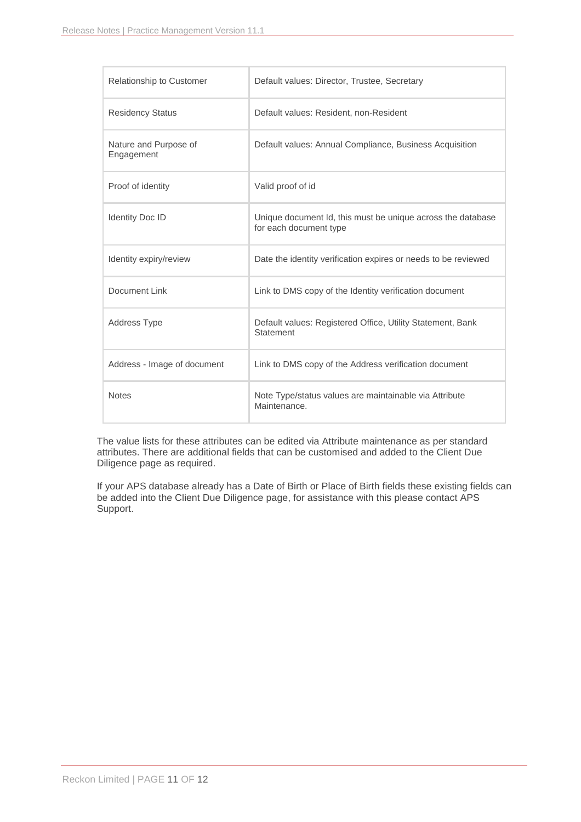| <b>Relationship to Customer</b>     | Default values: Director, Trustee, Secretary                                          |
|-------------------------------------|---------------------------------------------------------------------------------------|
| <b>Residency Status</b>             | Default values: Resident, non-Resident                                                |
| Nature and Purpose of<br>Engagement | Default values: Annual Compliance, Business Acquisition                               |
| Proof of identity                   | Valid proof of id                                                                     |
| <b>Identity Doc ID</b>              | Unique document Id, this must be unique across the database<br>for each document type |
| Identity expiry/review              | Date the identity verification expires or needs to be reviewed                        |
| Document Link                       | Link to DMS copy of the Identity verification document                                |
| <b>Address Type</b>                 | Default values: Registered Office, Utility Statement, Bank<br>Statement               |
| Address - Image of document         | Link to DMS copy of the Address verification document                                 |
| <b>Notes</b>                        | Note Type/status values are maintainable via Attribute<br>Maintenance.                |

The value lists for these attributes can be edited via Attribute maintenance as per standard attributes. There are additional fields that can be customised and added to the Client Due Diligence page as required.

If your APS database already has a Date of Birth or Place of Birth fields these existing fields can be added into the Client Due Diligence page, for assistance with this please contact APS Support.